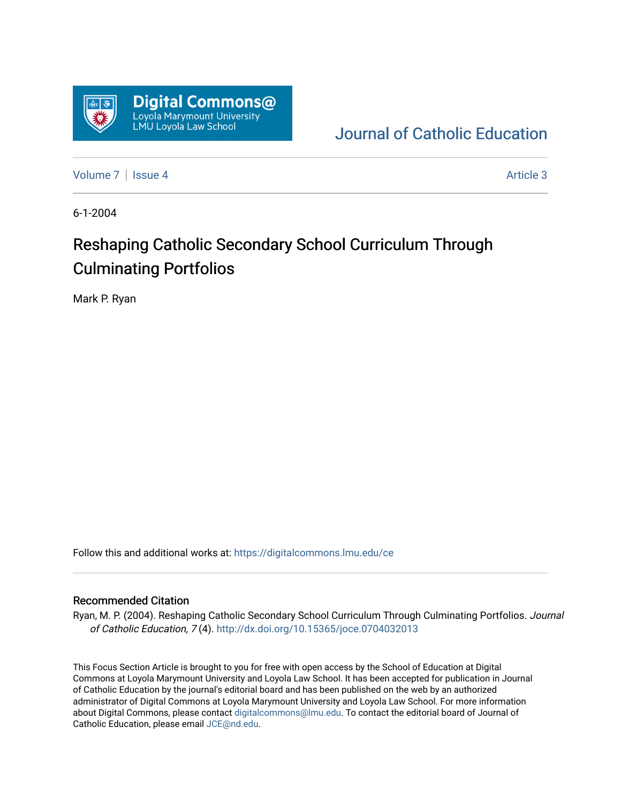

[Journal of Catholic Education](https://digitalcommons.lmu.edu/ce) 

[Volume 7](https://digitalcommons.lmu.edu/ce/vol7) | [Issue 4](https://digitalcommons.lmu.edu/ce/vol7/iss4) Article 3

6-1-2004

# Reshaping Catholic Secondary School Curriculum Through Culminating Portfolios

Mark P. Ryan

Follow this and additional works at: [https://digitalcommons.lmu.edu/ce](https://digitalcommons.lmu.edu/ce?utm_source=digitalcommons.lmu.edu%2Fce%2Fvol7%2Fiss4%2F3&utm_medium=PDF&utm_campaign=PDFCoverPages)

#### Recommended Citation

Ryan, M. P. (2004). Reshaping Catholic Secondary School Curriculum Through Culminating Portfolios. Journal of Catholic Education, 7 (4). <http://dx.doi.org/10.15365/joce.0704032013>

This Focus Section Article is brought to you for free with open access by the School of Education at Digital Commons at Loyola Marymount University and Loyola Law School. It has been accepted for publication in Journal of Catholic Education by the journal's editorial board and has been published on the web by an authorized administrator of Digital Commons at Loyola Marymount University and Loyola Law School. For more information about Digital Commons, please contact [digitalcommons@lmu.edu](mailto:digitalcommons@lmu.edu). To contact the editorial board of Journal of Catholic Education, please email [JCE@nd.edu.](mailto:JCE@nd.edu)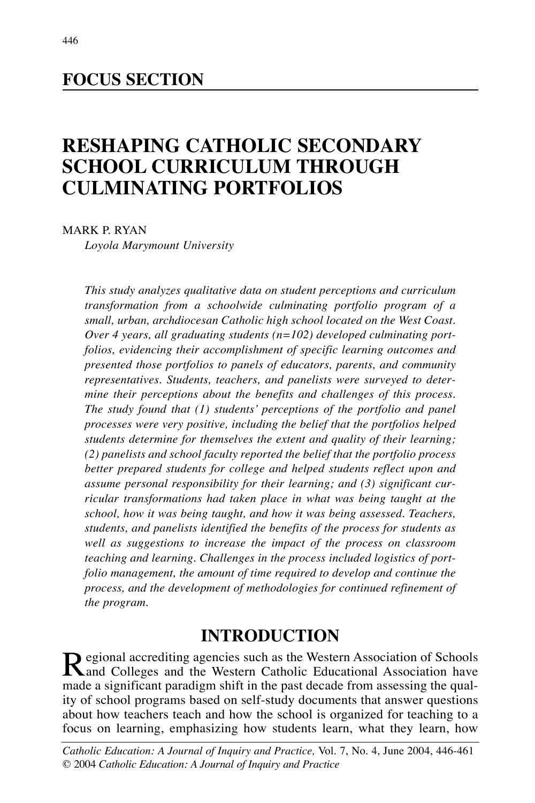## **FOCUS SECTION**

## **RESHAPING CATHOLIC SECONDARY SCHOOL CURRICULUM THROUGH CULMINATING PORTFOLIOS**

MARK P. RYAN

*Loyola Marymount University*

*This study analyzes qualitative data on student perceptions and curriculum transformation from a schoolwide culminating portfolio program of a small, urban, archdiocesan Catholic high school located on the West Coast. Over 4 years, all graduating students (n=102) developed culminating portfolios, evidencing their accomplishment of specific learning outcomes and presented those portfolios to panels of educators, parents, and community representatives. Students, teachers, and panelists were surveyed to determine their perceptions about the benefits and challenges of this process. The study found that (1) students' perceptions of the portfolio and panel processes were very positive, including the belief that the portfolios helped students determine for themselves the extent and quality of their learning; (2) panelists and school faculty reported the belief that the portfolio process better prepared students for college and helped students reflect upon and assume personal responsibility for their learning; and (3) significant curricular transformations had taken place in what was being taught at the school, how it was being taught, and how it was being assessed. Teachers, students, and panelists identified the benefits of the process for students as well as suggestions to increase the impact of the process on classroom teaching and learning. Challenges in the process included logistics of portfolio management, the amount of time required to develop and continue the process, and the development of methodologies for continued refinement of the program.*

#### **INTRODUCTION**

Regional accrediting agencies such as the Western Association of Schools<br>and Colleges and the Western Catholic Educational Association have<br>not be ability in the next dead of fermionalized the mal made a significant paradigm shift in the past decade from assessing the quality of school programs based on self-study documents that answer questions about how teachers teach and how the school is organized for teaching to a focus on learning, emphasizing how students learn, what they learn, how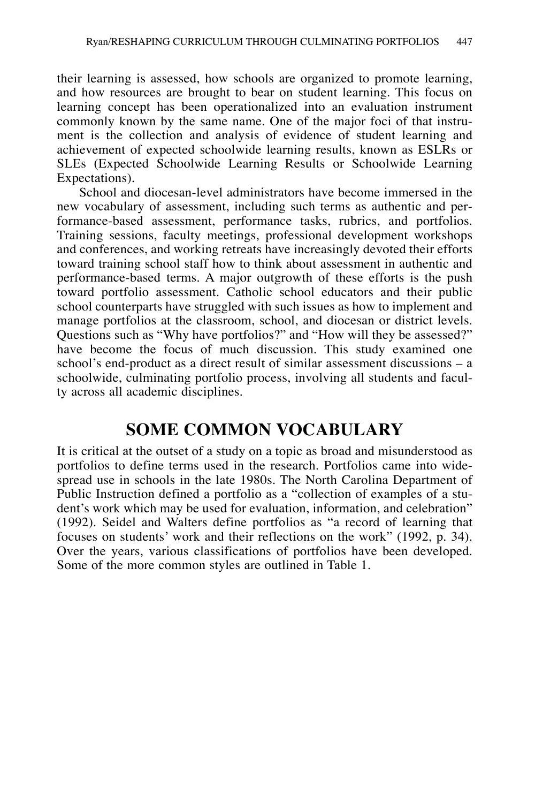their learning is assessed, how schools are organized to promote learning, and how resources are brought to bear on student learning. This focus on learning concept has been operationalized into an evaluation instrument commonly known by the same name. One of the major foci of that instrument is the collection and analysis of evidence of student learning and achievement of expected schoolwide learning results, known as ESLRs or SLEs (Expected Schoolwide Learning Results or Schoolwide Learning Expectations).

School and diocesan-level administrators have become immersed in the new vocabulary of assessment, including such terms as authentic and performance-based assessment, performance tasks, rubrics, and portfolios. Training sessions, faculty meetings, professional development workshops and conferences, and working retreats have increasingly devoted their efforts toward training school staff how to think about assessment in authentic and performance-based terms. A major outgrowth of these efforts is the push toward portfolio assessment. Catholic school educators and their public school counterparts have struggled with such issues as how to implement and manage portfolios at the classroom, school, and diocesan or district levels. Questions such as "Why have portfolios?" and "How will they be assessed?" have become the focus of much discussion. This study examined one school's end-product as a direct result of similar assessment discussions – a schoolwide, culminating portfolio process, involving all students and faculty across all academic disciplines.

#### **SOME COMMON VOCABULARY**

It is critical at the outset of a study on a topic as broad and misunderstood as portfolios to define terms used in the research. Portfolios came into widespread use in schools in the late 1980s. The North Carolina Department of Public Instruction defined a portfolio as a "collection of examples of a student's work which may be used for evaluation, information, and celebration" (1992). Seidel and Walters define portfolios as "a record of learning that focuses on students' work and their reflections on the work" (1992, p. 34). Over the years, various classifications of portfolios have been developed. Some of the more common styles are outlined in Table 1.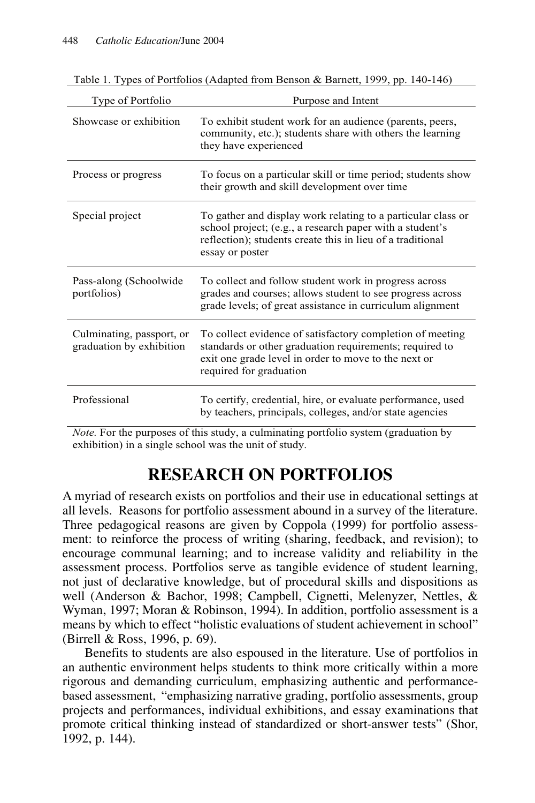| Type of Portfolio                                     | Purpose and Intent                                                                                                                                                                                        |
|-------------------------------------------------------|-----------------------------------------------------------------------------------------------------------------------------------------------------------------------------------------------------------|
| Showcase or exhibition                                | To exhibit student work for an audience (parents, peers,<br>community, etc.); students share with others the learning<br>they have experienced                                                            |
| Process or progress                                   | To focus on a particular skill or time period; students show<br>their growth and skill development over time                                                                                              |
| Special project                                       | To gather and display work relating to a particular class or<br>school project; (e.g., a research paper with a student's<br>reflection); students create this in lieu of a traditional<br>essay or poster |
| Pass-along (Schoolwide<br>portfolios)                 | To collect and follow student work in progress across<br>grades and courses; allows student to see progress across<br>grade levels; of great assistance in curriculum alignment                           |
| Culminating, passport, or<br>graduation by exhibition | To collect evidence of satisfactory completion of meeting<br>standards or other graduation requirements; required to<br>exit one grade level in order to move to the next or<br>required for graduation   |
| Professional                                          | To certify, credential, hire, or evaluate performance, used<br>by teachers, principals, colleges, and/or state agencies                                                                                   |

Table 1. Types of Portfolios (Adapted from Benson & Barnett, 1999, pp. 140-146)

*Note.* For the purposes of this study, a culminating portfolio system (graduation by exhibition) in a single school was the unit of study.

### **RESEARCH ON PORTFOLIOS**

A myriad of research exists on portfolios and their use in educational settings at all levels. Reasons for portfolio assessment abound in a survey of the literature. Three pedagogical reasons are given by Coppola (1999) for portfolio assessment: to reinforce the process of writing (sharing, feedback, and revision); to encourage communal learning; and to increase validity and reliability in the assessment process. Portfolios serve as tangible evidence of student learning, not just of declarative knowledge, but of procedural skills and dispositions as well (Anderson & Bachor, 1998; Campbell, Cignetti, Melenyzer, Nettles, & Wyman, 1997; Moran & Robinson, 1994). In addition, portfolio assessment is a means by which to effect "holistic evaluations of student achievement in school" (Birrell & Ross, 1996, p. 69).

Benefits to students are also espoused in the literature. Use of portfolios in an authentic environment helps students to think more critically within a more rigorous and demanding curriculum, emphasizing authentic and performancebased assessment, "emphasizing narrative grading, portfolio assessments, group projects and performances, individual exhibitions, and essay examinations that promote critical thinking instead of standardized or short-answer tests" (Shor, 1992, p. 144).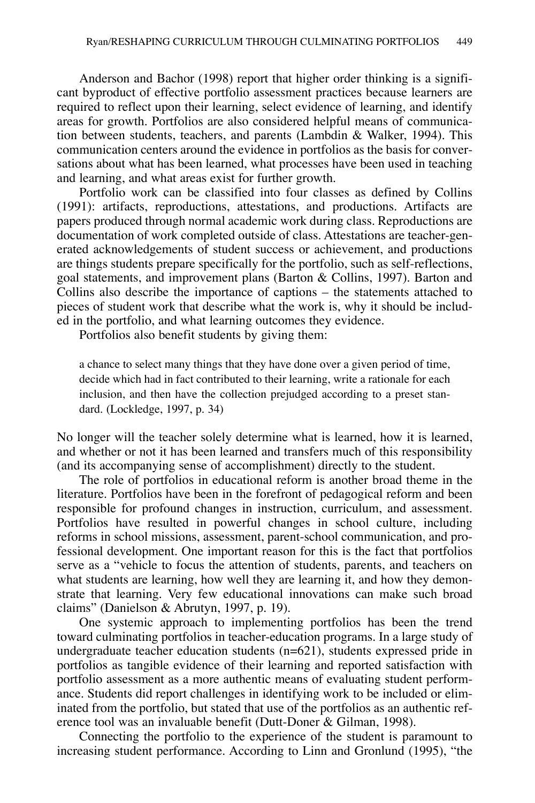Anderson and Bachor (1998) report that higher order thinking is a significant byproduct of effective portfolio assessment practices because learners are required to reflect upon their learning, select evidence of learning, and identify areas for growth. Portfolios are also considered helpful means of communication between students, teachers, and parents (Lambdin & Walker, 1994). This communication centers around the evidence in portfolios as the basis for conversations about what has been learned, what processes have been used in teaching and learning, and what areas exist for further growth.

Portfolio work can be classified into four classes as defined by Collins (1991): artifacts, reproductions, attestations, and productions. Artifacts are papers produced through normal academic work during class. Reproductions are documentation of work completed outside of class. Attestations are teacher-generated acknowledgements of student success or achievement, and productions are things students prepare specifically for the portfolio, such as self-reflections, goal statements, and improvement plans (Barton & Collins, 1997). Barton and Collins also describe the importance of captions – the statements attached to pieces of student work that describe what the work is, why it should be included in the portfolio, and what learning outcomes they evidence.

Portfolios also benefit students by giving them:

a chance to select many things that they have done over a given period of time, decide which had in fact contributed to their learning, write a rationale for each inclusion, and then have the collection prejudged according to a preset standard. (Lockledge, 1997, p. 34)

No longer will the teacher solely determine what is learned, how it is learned, and whether or not it has been learned and transfers much of this responsibility (and its accompanying sense of accomplishment) directly to the student.

The role of portfolios in educational reform is another broad theme in the literature. Portfolios have been in the forefront of pedagogical reform and been responsible for profound changes in instruction, curriculum, and assessment. Portfolios have resulted in powerful changes in school culture, including reforms in school missions, assessment, parent-school communication, and professional development. One important reason for this is the fact that portfolios serve as a "vehicle to focus the attention of students, parents, and teachers on what students are learning, how well they are learning it, and how they demonstrate that learning. Very few educational innovations can make such broad claims" (Danielson & Abrutyn, 1997, p. 19).

One systemic approach to implementing portfolios has been the trend toward culminating portfolios in teacher-education programs. In a large study of undergraduate teacher education students (n=621), students expressed pride in portfolios as tangible evidence of their learning and reported satisfaction with portfolio assessment as a more authentic means of evaluating student performance. Students did report challenges in identifying work to be included or eliminated from the portfolio, but stated that use of the portfolios as an authentic reference tool was an invaluable benefit (Dutt-Doner & Gilman, 1998).

Connecting the portfolio to the experience of the student is paramount to increasing student performance. According to Linn and Gronlund (1995), "the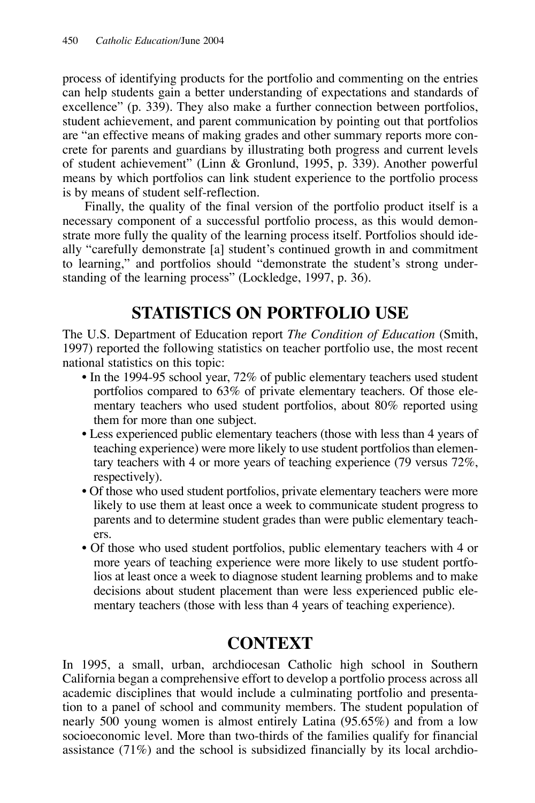process of identifying products for the portfolio and commenting on the entries can help students gain a better understanding of expectations and standards of excellence" (p. 339). They also make a further connection between portfolios, student achievement, and parent communication by pointing out that portfolios are "an effective means of making grades and other summary reports more concrete for parents and guardians by illustrating both progress and current levels of student achievement" (Linn & Gronlund, 1995, p. 339). Another powerful means by which portfolios can link student experience to the portfolio process is by means of student self-reflection.

Finally, the quality of the final version of the portfolio product itself is a necessary component of a successful portfolio process, as this would demonstrate more fully the quality of the learning process itself. Portfolios should ideally "carefully demonstrate [a] student's continued growth in and commitment to learning," and portfolios should "demonstrate the student's strong understanding of the learning process" (Lockledge, 1997, p. 36).

## **STATISTICS ON PORTFOLIO USE**

The U.S. Department of Education report *The Condition of Education* (Smith, 1997) reported the following statistics on teacher portfolio use, the most recent national statistics on this topic:

- In the 1994-95 school year, 72% of public elementary teachers used student portfolios compared to 63% of private elementary teachers. Of those elementary teachers who used student portfolios, about 80% reported using them for more than one subject.
- Less experienced public elementary teachers (those with less than 4 years of teaching experience) were more likely to use student portfolios than elementary teachers with 4 or more years of teaching experience (79 versus 72%, respectively).
- Of those who used student portfolios, private elementary teachers were more likely to use them at least once a week to communicate student progress to parents and to determine student grades than were public elementary teachers.
- Of those who used student portfolios, public elementary teachers with 4 or more years of teaching experience were more likely to use student portfolios at least once a week to diagnose student learning problems and to make decisions about student placement than were less experienced public elementary teachers (those with less than 4 years of teaching experience).

## **CONTEXT**

In 1995, a small, urban, archdiocesan Catholic high school in Southern California began a comprehensive effort to develop a portfolio process across all academic disciplines that would include a culminating portfolio and presentation to a panel of school and community members. The student population of nearly 500 young women is almost entirely Latina (95.65%) and from a low socioeconomic level. More than two-thirds of the families qualify for financial assistance  $(71\%)$  and the school is subsidized financially by its local archdio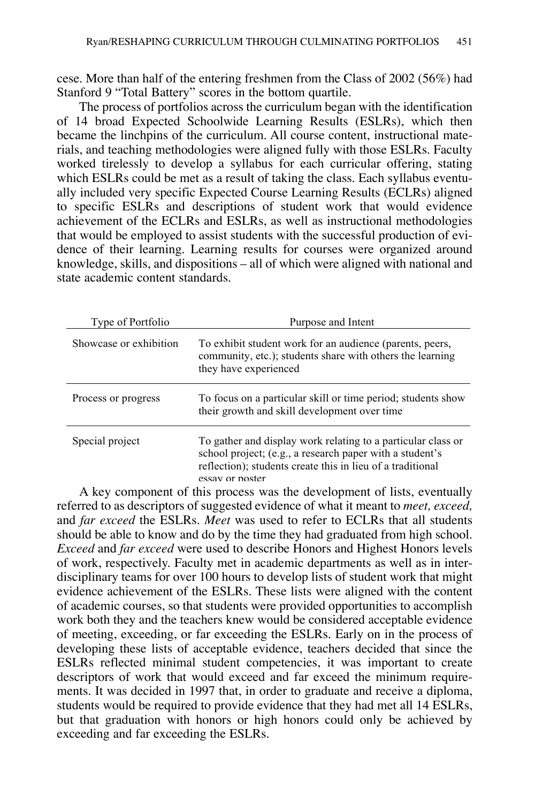cese. More than half of the entering freshmen from the Class of 2002 (56%) had Stanford 9 "Total Battery" scores in the bottom quartile.

The process of portfolios across the curriculum began with the identification of 14 broad Expected Schoolwide Learning Results (ESLRs), which then became the linchpins of the curriculum. All course content, instructional materials, and teaching methodologies were aligned fully with those ESLRs. Faculty worked tirelessly to develop a syllabus for each curricular offering, stating which ESLRs could be met as a result of taking the class. Each syllabus eventually included very specific Expected Course Learning Results (ECLRs) aligned to specific ESLRs and descriptions of student work that would evidence achievement of the ECLRs and ESLRs, as well as instructional methodologies that would be employed to assist students with the successful production of evidence of their learning. Learning results for courses were organized around knowledge, skills, and dispositions – all of which were aligned with national and state academic content standards.

| Type of Portfolio      | Purpose and Intent                                                                                                                                                                                        |
|------------------------|-----------------------------------------------------------------------------------------------------------------------------------------------------------------------------------------------------------|
| Showcase or exhibition | To exhibit student work for an audience (parents, peers,<br>community, etc.); students share with others the learning<br>they have experienced                                                            |
| Process or progress    | To focus on a particular skill or time period; students show<br>their growth and skill development over time                                                                                              |
| Special project        | To gather and display work relating to a particular class or<br>school project; (e.g., a research paper with a student's<br>reflection); students create this in lieu of a traditional<br>essay or noster |

A key component of this process was the development of lists, eventually referred to as descriptors of suggested evidence of what it meant to *meet, exceed,* and *far exceed* the ESLRs. *Meet* was used to refer to ECLRs that all students should be able to know and do by the time they had graduated from high school. *Exceed* and *far exceed* were used to describe Honors and Highest Honors levels of work, respectively. Faculty met in academic departments as well as in interdisciplinary teams for over 100 hours to develop lists of student work that might evidence achievement of the ESLRs. These lists were aligned with the content of academic courses, so that students were provided opportunities to accomplish work both they and the teachers knew would be considered acceptable evidence of meeting, exceeding, or far exceeding the ESLRs. Early on in the process of developing these lists of acceptable evidence, teachers decided that since the ESLRs reflected minimal student competencies, it was important to create descriptors of work that would exceed and far exceed the minimum requirements. It was decided in 1997 that, in order to graduate and receive a diploma, students would be required to provide evidence that they had met all 14 ESLRs, but that graduation with honors or high honors could only be achieved by exceeding and far exceeding the ESLRs.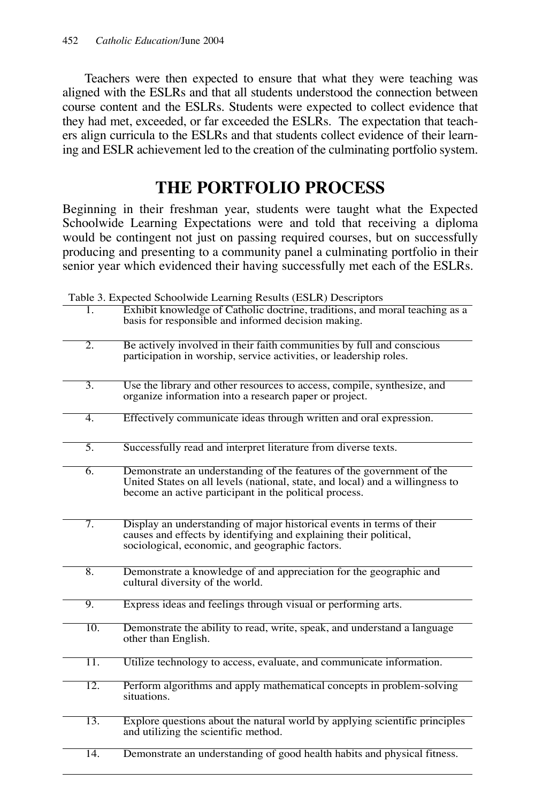Teachers were then expected to ensure that what they were teaching was aligned with the ESLRs and that all students understood the connection between course content and the ESLRs. Students were expected to collect evidence that they had met, exceeded, or far exceeded the ESLRs. The expectation that teachers align curricula to the ESLRs and that students collect evidence of their learning and ESLR achievement led to the creation of the culminating portfolio system.

## **THE PORTFOLIO PROCESS**

Beginning in their freshman year, students were taught what the Expected Schoolwide Learning Expectations were and told that receiving a diploma would be contingent not just on passing required courses, but on successfully producing and presenting to a community panel a culminating portfolio in their senior year which evidenced their having successfully met each of the ESLRs.

Table 3. Expected Schoolwide Learning Results (ESLR) Descriptors

| $\overline{1}$ .  | Exhibit knowledge of Catholic doctrine, traditions, and moral teaching as a<br>basis for responsible and informed decision making.                                                                               |
|-------------------|------------------------------------------------------------------------------------------------------------------------------------------------------------------------------------------------------------------|
| $\overline{2}$ .  | Be actively involved in their faith communities by full and conscious<br>participation in worship, service activities, or leadership roles.                                                                      |
| 3.                | Use the library and other resources to access, compile, synthesize, and<br>organize information into a research paper or project.                                                                                |
| 4.                | Effectively communicate ideas through written and oral expression.                                                                                                                                               |
| 5.                | Successfully read and interpret literature from diverse texts.                                                                                                                                                   |
| 6.                | Demonstrate an understanding of the features of the government of the<br>United States on all levels (national, state, and local) and a willingness to<br>become an active participant in the political process. |
| 7.                | Display an understanding of major historical events in terms of their<br>causes and effects by identifying and explaining their political,<br>sociological, economic, and geographic factors.                    |
| 8.                | Demonstrate a knowledge of and appreciation for the geographic and<br>cultural diversity of the world.                                                                                                           |
| 9.                | Express ideas and feelings through visual or performing arts.                                                                                                                                                    |
| 10.               | Demonstrate the ability to read, write, speak, and understand a language<br>other than English.                                                                                                                  |
| $\overline{11}$ . | Utilize technology to access, evaluate, and communicate information.                                                                                                                                             |
| 12.               | Perform algorithms and apply mathematical concepts in problem-solving<br>situations.                                                                                                                             |
| 13.               | Explore questions about the natural world by applying scientific principles<br>and utilizing the scientific method.                                                                                              |
| 14.               | Demonstrate an understanding of good health habits and physical fitness.                                                                                                                                         |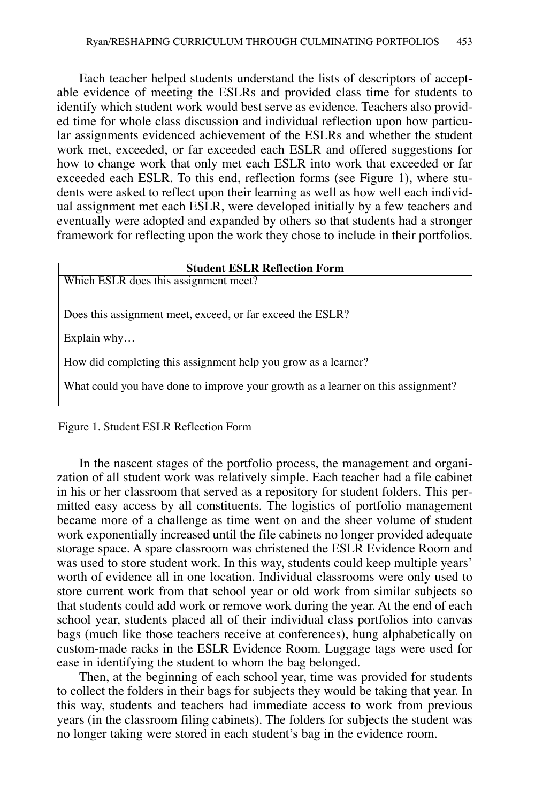Each teacher helped students understand the lists of descriptors of acceptable evidence of meeting the ESLRs and provided class time for students to identify which student work would best serve as evidence. Teachers also provided time for whole class discussion and individual reflection upon how particular assignments evidenced achievement of the ESLRs and whether the student work met, exceeded, or far exceeded each ESLR and offered suggestions for how to change work that only met each ESLR into work that exceeded or far exceeded each ESLR. To this end, reflection forms (see Figure 1), where students were asked to reflect upon their learning as well as how well each individual assignment met each ESLR, were developed initially by a few teachers and eventually were adopted and expanded by others so that students had a stronger framework for reflecting upon the work they chose to include in their portfolios.

| <b>Student ESLR Reflection Form</b>                                              |  |
|----------------------------------------------------------------------------------|--|
| Which ESLR does this assignment meet?                                            |  |
| Does this assignment meet, exceed, or far exceed the ESLR?                       |  |
| Explain why                                                                      |  |
| How did completing this assignment help you grow as a learner?                   |  |
| What could you have done to improve your growth as a learner on this assignment? |  |
|                                                                                  |  |

Figure 1. Student ESLR Reflection Form

In the nascent stages of the portfolio process, the management and organization of all student work was relatively simple. Each teacher had a file cabinet in his or her classroom that served as a repository for student folders. This permitted easy access by all constituents. The logistics of portfolio management became more of a challenge as time went on and the sheer volume of student work exponentially increased until the file cabinets no longer provided adequate storage space. A spare classroom was christened the ESLR Evidence Room and was used to store student work. In this way, students could keep multiple years' worth of evidence all in one location. Individual classrooms were only used to store current work from that school year or old work from similar subjects so that students could add work or remove work during the year. At the end of each school year, students placed all of their individual class portfolios into canvas bags (much like those teachers receive at conferences), hung alphabetically on custom-made racks in the ESLR Evidence Room. Luggage tags were used for ease in identifying the student to whom the bag belonged.

Then, at the beginning of each school year, time was provided for students to collect the folders in their bags for subjects they would be taking that year. In this way, students and teachers had immediate access to work from previous years (in the classroom filing cabinets). The folders for subjects the student was no longer taking were stored in each student's bag in the evidence room.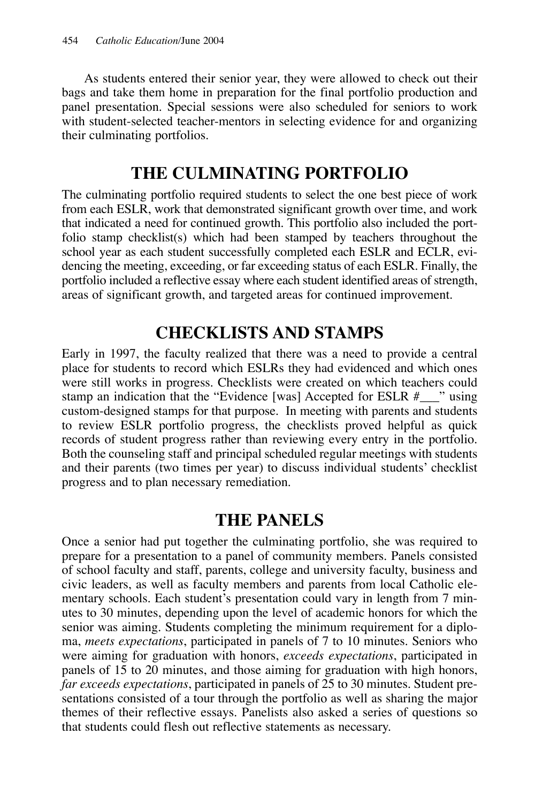As students entered their senior year, they were allowed to check out their bags and take them home in preparation for the final portfolio production and panel presentation. Special sessions were also scheduled for seniors to work with student-selected teacher-mentors in selecting evidence for and organizing their culminating portfolios.

## **THE CULMINATING PORTFOLIO**

The culminating portfolio required students to select the one best piece of work from each ESLR, work that demonstrated significant growth over time, and work that indicated a need for continued growth. This portfolio also included the portfolio stamp checklist(s) which had been stamped by teachers throughout the school year as each student successfully completed each ESLR and ECLR, evidencing the meeting, exceeding, or far exceeding status of each ESLR. Finally, the portfolio included a reflective essay where each student identified areas of strength, areas of significant growth, and targeted areas for continued improvement.

## **CHECKLISTS AND STAMPS**

Early in 1997, the faculty realized that there was a need to provide a central place for students to record which ESLRs they had evidenced and which ones were still works in progress. Checklists were created on which teachers could stamp an indication that the "Evidence [was] Accepted for ESLR  $#$  wing custom-designed stamps for that purpose. In meeting with parents and students to review ESLR portfolio progress, the checklists proved helpful as quick records of student progress rather than reviewing every entry in the portfolio. Both the counseling staff and principal scheduled regular meetings with students and their parents (two times per year) to discuss individual students' checklist progress and to plan necessary remediation.

### **THE PANELS**

Once a senior had put together the culminating portfolio, she was required to prepare for a presentation to a panel of community members. Panels consisted of school faculty and staff, parents, college and university faculty, business and civic leaders, as well as faculty members and parents from local Catholic elementary schools. Each student's presentation could vary in length from 7 minutes to 30 minutes, depending upon the level of academic honors for which the senior was aiming. Students completing the minimum requirement for a diploma, *meets expectations*, participated in panels of 7 to 10 minutes. Seniors who were aiming for graduation with honors, *exceeds expectations*, participated in panels of 15 to 20 minutes, and those aiming for graduation with high honors, *far exceeds expectations*, participated in panels of 25 to 30 minutes. Student presentations consisted of a tour through the portfolio as well as sharing the major themes of their reflective essays. Panelists also asked a series of questions so that students could flesh out reflective statements as necessary.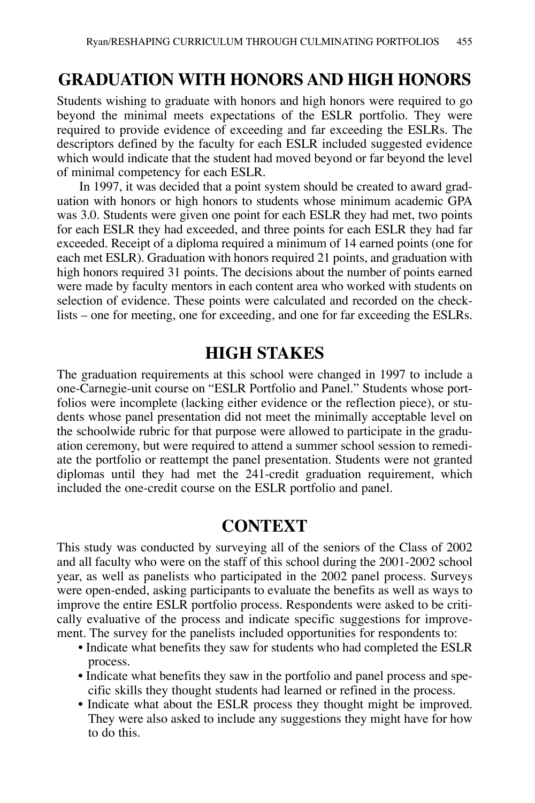## **GRADUATION WITH HONORS AND HIGH HONORS**

Students wishing to graduate with honors and high honors were required to go beyond the minimal meets expectations of the ESLR portfolio. They were required to provide evidence of exceeding and far exceeding the ESLRs. The descriptors defined by the faculty for each ESLR included suggested evidence which would indicate that the student had moved beyond or far beyond the level of minimal competency for each ESLR.

In 1997, it was decided that a point system should be created to award graduation with honors or high honors to students whose minimum academic GPA was 3.0. Students were given one point for each ESLR they had met, two points for each ESLR they had exceeded, and three points for each ESLR they had far exceeded. Receipt of a diploma required a minimum of 14 earned points (one for each met ESLR). Graduation with honors required 21 points, and graduation with high honors required 31 points. The decisions about the number of points earned were made by faculty mentors in each content area who worked with students on selection of evidence. These points were calculated and recorded on the checklists – one for meeting, one for exceeding, and one for far exceeding the ESLRs.

#### **HIGH STAKES**

The graduation requirements at this school were changed in 1997 to include a one-Carnegie-unit course on "ESLR Portfolio and Panel." Students whose portfolios were incomplete (lacking either evidence or the reflection piece), or students whose panel presentation did not meet the minimally acceptable level on the schoolwide rubric for that purpose were allowed to participate in the graduation ceremony, but were required to attend a summer school session to remediate the portfolio or reattempt the panel presentation. Students were not granted diplomas until they had met the 241-credit graduation requirement, which included the one-credit course on the ESLR portfolio and panel.

#### **CONTEXT**

This study was conducted by surveying all of the seniors of the Class of 2002 and all faculty who were on the staff of this school during the 2001-2002 school year, as well as panelists who participated in the 2002 panel process. Surveys were open-ended, asking participants to evaluate the benefits as well as ways to improve the entire ESLR portfolio process. Respondents were asked to be critically evaluative of the process and indicate specific suggestions for improvement. The survey for the panelists included opportunities for respondents to:

- Indicate what benefits they saw for students who had completed the ESLR process.
- Indicate what benefits they saw in the portfolio and panel process and specific skills they thought students had learned or refined in the process.
- Indicate what about the ESLR process they thought might be improved. They were also asked to include any suggestions they might have for how to do this.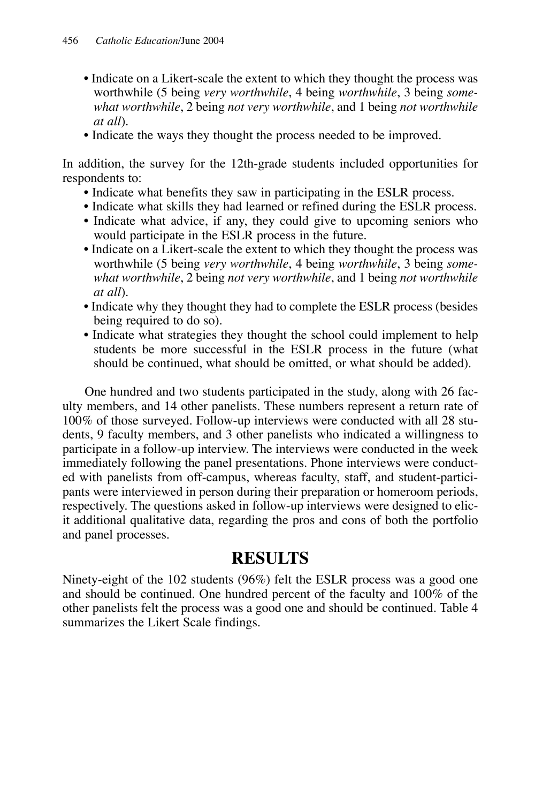- Indicate on a Likert-scale the extent to which they thought the process was worthwhile (5 being *very worthwhile*, 4 being *worthwhile*, 3 being *somewhat worthwhile*, 2 being *not very worthwhile*, and 1 being *not worthwhile at all*).
- Indicate the ways they thought the process needed to be improved.

In addition, the survey for the 12th-grade students included opportunities for respondents to:

- Indicate what benefits they saw in participating in the ESLR process.
- Indicate what skills they had learned or refined during the ESLR process.
- Indicate what advice, if any, they could give to upcoming seniors who would participate in the ESLR process in the future.
- Indicate on a Likert-scale the extent to which they thought the process was worthwhile (5 being *very worthwhile*, 4 being *worthwhile*, 3 being *somewhat worthwhile*, 2 being *not very worthwhile*, and 1 being *not worthwhile at all*).
- Indicate why they thought they had to complete the ESLR process (besides being required to do so).
- Indicate what strategies they thought the school could implement to help students be more successful in the ESLR process in the future (what should be continued, what should be omitted, or what should be added).

One hundred and two students participated in the study, along with 26 faculty members, and 14 other panelists. These numbers represent a return rate of 100% of those surveyed. Follow-up interviews were conducted with all 28 students, 9 faculty members, and 3 other panelists who indicated a willingness to participate in a follow-up interview. The interviews were conducted in the week immediately following the panel presentations. Phone interviews were conducted with panelists from off-campus, whereas faculty, staff, and student-participants were interviewed in person during their preparation or homeroom periods, respectively. The questions asked in follow-up interviews were designed to elicit additional qualitative data, regarding the pros and cons of both the portfolio and panel processes.

## **RESULTS**

Ninety-eight of the 102 students (96%) felt the ESLR process was a good one and should be continued. One hundred percent of the faculty and 100% of the other panelists felt the process was a good one and should be continued. Table 4 summarizes the Likert Scale findings.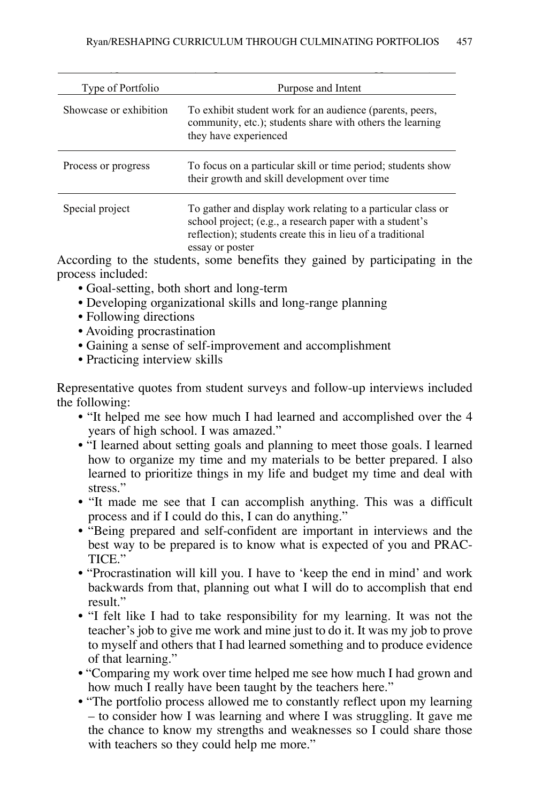$\mathbf{y}$  ( p pp ) and ( p pp ) and ( pp ) and ( pp ) and ( pp ) and ( pp ) and (  $\mathbf{y}$ 

| Type of Portfolio      | Purpose and Intent                                                                                                                                                                                        |
|------------------------|-----------------------------------------------------------------------------------------------------------------------------------------------------------------------------------------------------------|
| Showcase or exhibition | To exhibit student work for an audience (parents, peers,<br>community, etc.); students share with others the learning<br>they have experienced                                                            |
| Process or progress    | To focus on a particular skill or time period; students show<br>their growth and skill development over time                                                                                              |
| Special project        | To gather and display work relating to a particular class or<br>school project; (e.g., a research paper with a student's<br>reflection); students create this in lieu of a traditional<br>essay or poster |

According to the students, some benefits they gained by participating in the process included:

- Goal-setting, both short and long-term
- Developing organizational skills and long-range planning
- Following directions
- Avoiding procrastination
- Gaining a sense of self-improvement and accomplishment
- Practicing interview skills

Representative quotes from student surveys and follow-up interviews included the following:

- "It helped me see how much I had learned and accomplished over the 4 years of high school. I was amazed."
- "I learned about setting goals and planning to meet those goals. I learned how to organize my time and my materials to be better prepared. I also learned to prioritize things in my life and budget my time and deal with stress<sup>"</sup>
- "It made me see that I can accomplish anything. This was a difficult process and if I could do this, I can do anything."
- "Being prepared and self-confident are important in interviews and the best way to be prepared is to know what is expected of you and PRAC-TICE."
- "Procrastination will kill you. I have to 'keep the end in mind' and work backwards from that, planning out what I will do to accomplish that end result."
- "I felt like I had to take responsibility for my learning. It was not the teacher's job to give me work and mine just to do it. It was my job to prove to myself and others that I had learned something and to produce evidence of that learning."
- "Comparing my work over time helped me see how much I had grown and how much I really have been taught by the teachers here."
- "The portfolio process allowed me to constantly reflect upon my learning – to consider how I was learning and where I was struggling. It gave me the chance to know my strengths and weaknesses so I could share those with teachers so they could help me more."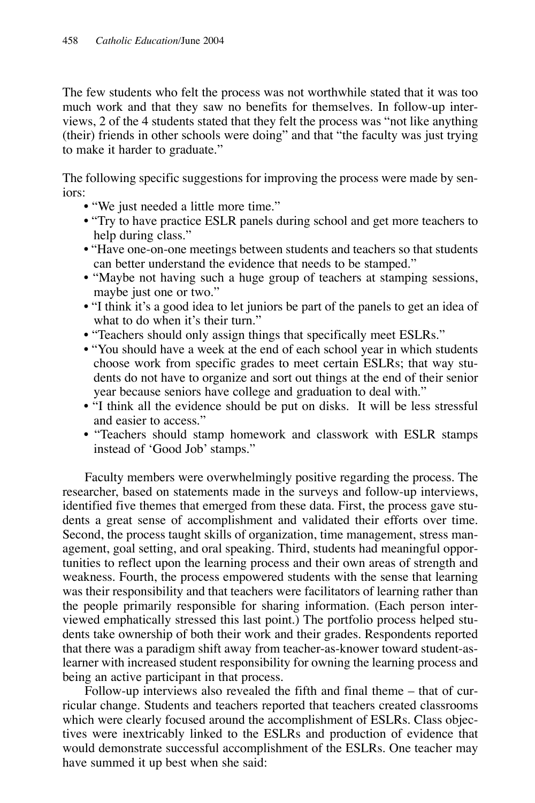The few students who felt the process was not worthwhile stated that it was too much work and that they saw no benefits for themselves. In follow-up interviews, 2 of the 4 students stated that they felt the process was "not like anything (their) friends in other schools were doing" and that "the faculty was just trying to make it harder to graduate."

The following specific suggestions for improving the process were made by seniors:

- "We just needed a little more time."
- "Try to have practice ESLR panels during school and get more teachers to help during class."
- "Have one-on-one meetings between students and teachers so that students can better understand the evidence that needs to be stamped."
- "Maybe not having such a huge group of teachers at stamping sessions, maybe just one or two."
- "I think it's a good idea to let juniors be part of the panels to get an idea of what to do when it's their turn."
- "Teachers should only assign things that specifically meet ESLRs."
- "You should have a week at the end of each school year in which students choose work from specific grades to meet certain ESLRs; that way students do not have to organize and sort out things at the end of their senior year because seniors have college and graduation to deal with."
- "I think all the evidence should be put on disks. It will be less stressful and easier to access."
- "Teachers should stamp homework and classwork with ESLR stamps instead of 'Good Job' stamps."

Faculty members were overwhelmingly positive regarding the process. The researcher, based on statements made in the surveys and follow-up interviews, identified five themes that emerged from these data. First, the process gave students a great sense of accomplishment and validated their efforts over time. Second, the process taught skills of organization, time management, stress management, goal setting, and oral speaking. Third, students had meaningful opportunities to reflect upon the learning process and their own areas of strength and weakness. Fourth, the process empowered students with the sense that learning was their responsibility and that teachers were facilitators of learning rather than the people primarily responsible for sharing information. (Each person interviewed emphatically stressed this last point.) The portfolio process helped students take ownership of both their work and their grades. Respondents reported that there was a paradigm shift away from teacher-as-knower toward student-aslearner with increased student responsibility for owning the learning process and being an active participant in that process.

Follow-up interviews also revealed the fifth and final theme – that of curricular change. Students and teachers reported that teachers created classrooms which were clearly focused around the accomplishment of ESLRs. Class objectives were inextricably linked to the ESLRs and production of evidence that would demonstrate successful accomplishment of the ESLRs. One teacher may have summed it up best when she said: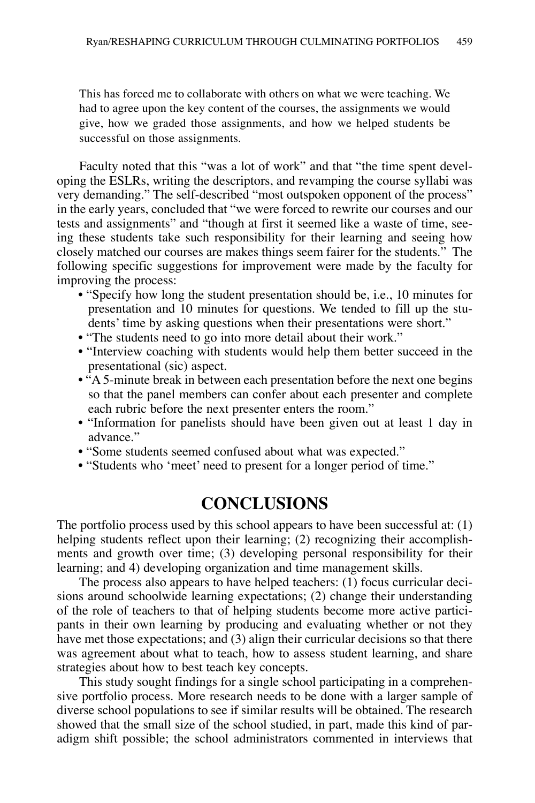This has forced me to collaborate with others on what we were teaching. We had to agree upon the key content of the courses, the assignments we would give, how we graded those assignments, and how we helped students be successful on those assignments.

Faculty noted that this "was a lot of work" and that "the time spent developing the ESLRs, writing the descriptors, and revamping the course syllabi was very demanding." The self-described "most outspoken opponent of the process" in the early years, concluded that "we were forced to rewrite our courses and our tests and assignments" and "though at first it seemed like a waste of time, seeing these students take such responsibility for their learning and seeing how closely matched our courses are makes things seem fairer for the students." The following specific suggestions for improvement were made by the faculty for improving the process:

- "Specify how long the student presentation should be, i.e., 10 minutes for presentation and 10 minutes for questions. We tended to fill up the students' time by asking questions when their presentations were short."
- "The students need to go into more detail about their work."
- "Interview coaching with students would help them better succeed in the presentational (sic) aspect.
- "A 5-minute break in between each presentation before the next one begins so that the panel members can confer about each presenter and complete each rubric before the next presenter enters the room."
- "Information for panelists should have been given out at least 1 day in advance."
- "Some students seemed confused about what was expected."
- "Students who 'meet' need to present for a longer period of time."

#### **CONCLUSIONS**

The portfolio process used by this school appears to have been successful at: (1) helping students reflect upon their learning; (2) recognizing their accomplishments and growth over time; (3) developing personal responsibility for their learning; and 4) developing organization and time management skills.

The process also appears to have helped teachers: (1) focus curricular decisions around schoolwide learning expectations; (2) change their understanding of the role of teachers to that of helping students become more active participants in their own learning by producing and evaluating whether or not they have met those expectations; and (3) align their curricular decisions so that there was agreement about what to teach, how to assess student learning, and share strategies about how to best teach key concepts.

This study sought findings for a single school participating in a comprehensive portfolio process. More research needs to be done with a larger sample of diverse school populations to see if similar results will be obtained. The research showed that the small size of the school studied, in part, made this kind of paradigm shift possible; the school administrators commented in interviews that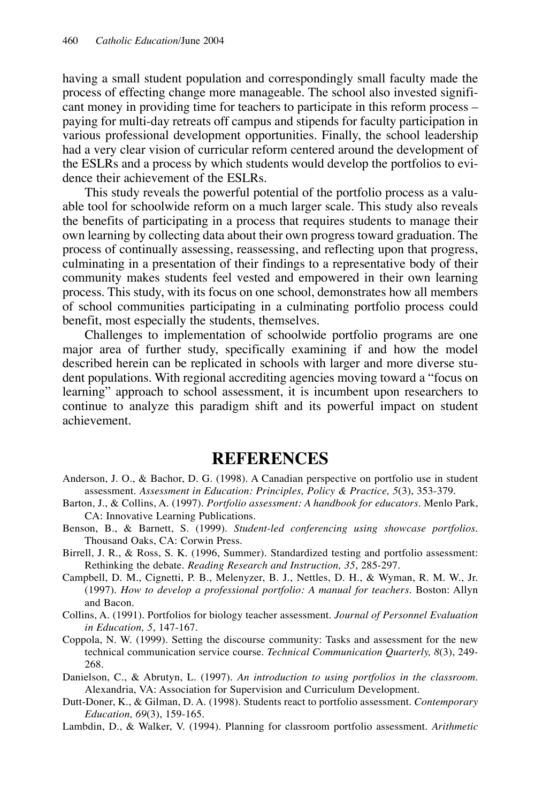having a small student population and correspondingly small faculty made the process of effecting change more manageable. The school also invested significant money in providing time for teachers to participate in this reform process – paying for multi-day retreats off campus and stipends for faculty participation in various professional development opportunities. Finally, the school leadership had a very clear vision of curricular reform centered around the development of the ESLRs and a process by which students would develop the portfolios to evidence their achievement of the ESLRs.

This study reveals the powerful potential of the portfolio process as a valuable tool for schoolwide reform on a much larger scale. This study also reveals the benefits of participating in a process that requires students to manage their own learning by collecting data about their own progress toward graduation. The process of continually assessing, reassessing, and reflecting upon that progress, culminating in a presentation of their findings to a representative body of their community makes students feel vested and empowered in their own learning process. This study, with its focus on one school, demonstrates how all members of school communities participating in a culminating portfolio process could benefit, most especially the students, themselves.

Challenges to implementation of schoolwide portfolio programs are one major area of further study, specifically examining if and how the model described herein can be replicated in schools with larger and more diverse student populations. With regional accrediting agencies moving toward a "focus on learning" approach to school assessment, it is incumbent upon researchers to continue to analyze this paradigm shift and its powerful impact on student achievement.

#### **REFERENCES**

- Anderson, J. O., & Bachor, D. G. (1998). A Canadian perspective on portfolio use in student assessment. *Assessment in Education: Principles, Policy & Practice, 5*(3), 353-379.
- Barton, J., & Collins, A. (1997). *Portfolio assessment: A handbook for educators*. Menlo Park, CA: Innovative Learning Publications.
- Benson, B., & Barnett, S. (1999). *Student-led conferencing using showcase portfolios*. Thousand Oaks, CA: Corwin Press.
- Birrell, J. R., & Ross, S. K. (1996, Summer). Standardized testing and portfolio assessment: Rethinking the debate. *Reading Research and Instruction, 35*, 285-297.
- Campbell, D. M., Cignetti, P. B., Melenyzer, B. J., Nettles, D. H., & Wyman, R. M. W., Jr. (1997). *How to develop a professional portfolio: A manual for teachers*. Boston: Allyn and Bacon.
- Collins, A. (1991). Portfolios for biology teacher assessment. *Journal of Personnel Evaluation in Education, 5*, 147-167.
- Coppola, N. W. (1999). Setting the discourse community: Tasks and assessment for the new technical communication service course. *Technical Communication Quarterly, 8*(3), 249- 268.
- Danielson, C., & Abrutyn, L. (1997). *An introduction to using portfolios in the classroom*. Alexandria, VA: Association for Supervision and Curriculum Development.
- Dutt-Doner, K., & Gilman, D. A. (1998). Students react to portfolio assessment. *Contemporary Education, 69*(3), 159-165.
- Lambdin, D., & Walker, V. (1994). Planning for classroom portfolio assessment. *Arithmetic*